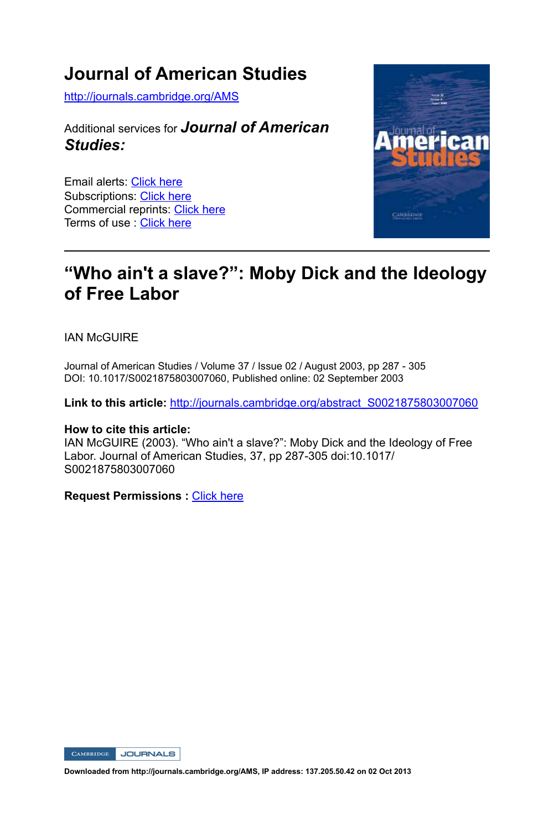## **Journal of American Studies**

http://journals.cambridge.org/AMS

Additional services for *Journal of American Studies:*

Email alerts: Click here Subscriptions: Click here Commercial reprints: Click here Terms of use : Click here



## **"Who ain't a slave?": Moby Dick and the Ideology of Free Labor**

**IAN McGUIRE** 

Journal of American Studies / Volume 37 / Issue 02 / August 2003, pp 287 - 305 DOI: 10.1017/S0021875803007060, Published online: 02 September 2003

**Link to this article:** http://journals.cambridge.org/abstract\_S0021875803007060

#### **How to cite this article:**

IAN McGUIRE (2003). "Who ain't a slave?": Moby Dick and the Ideology of Free Labor. Journal of American Studies, 37, pp 287-305 doi:10.1017/ S0021875803007060

#### **Request Permissions :** Click here

CAMBRIDGE JOURNALS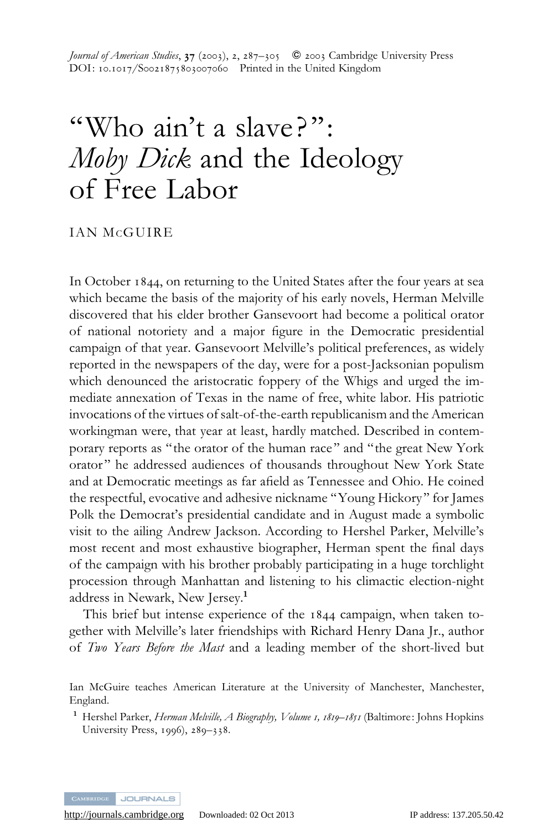Journal of American Studies, 37 (2003), 2, 287-305 <sup>©</sup> 2003 Cambridge University Press DOI: 10.1017/S0021875803007060 Printed in the United Kingdom

# "Who ain't a slave?": Moby Dick and the Ideology of Free Labor

IAN MCGUIRE

In October 1844, on returning to the United States after the four years at sea which became the basis of the majority of his early novels, Herman Melville discovered that his elder brother Gansevoort had become a political orator of national notoriety and a major figure in the Democratic presidential campaign of that year. Gansevoort Melville's political preferences, as widely reported in the newspapers of the day, were for a post-Jacksonian populism which denounced the aristocratic foppery of the Whigs and urged the immediate annexation of Texas in the name of free, white labor. His patriotic invocations of the virtues of salt-of-the-earth republicanism and the American workingman were, that year at least, hardly matched. Described in contemporary reports as ''the orator of the human race'' and ''the great New York orator'' he addressed audiences of thousands throughout New York State and at Democratic meetings as far afield as Tennessee and Ohio. He coined the respectful, evocative and adhesive nickname ''Young Hickory'' for James Polk the Democrat's presidential candidate and in August made a symbolic visit to the ailing Andrew Jackson. According to Hershel Parker, Melville's most recent and most exhaustive biographer, Herman spent the final days of the campaign with his brother probably participating in a huge torchlight procession through Manhattan and listening to his climactic election-night address in Newark, New Jersey.<sup>1</sup>

This brief but intense experience of the 1844 campaign, when taken together with Melville's later friendships with Richard Henry Dana Jr., author of Two Years Before the Mast and a leading member of the short-lived but

CAMBRIDGE JOURNALS

<http://journals.cambridge.org> Downloaded: 02 Oct 2013 IP address: 137.205.50.42

Ian McGuire teaches American Literature at the University of Manchester, Manchester, England.

<sup>&</sup>lt;sup>1</sup> Hershel Parker, *Herman Melville, A Biography, Volume 1, 1819–1851* (Baltimore: Johns Hopkins University Press, 1996), 289–338.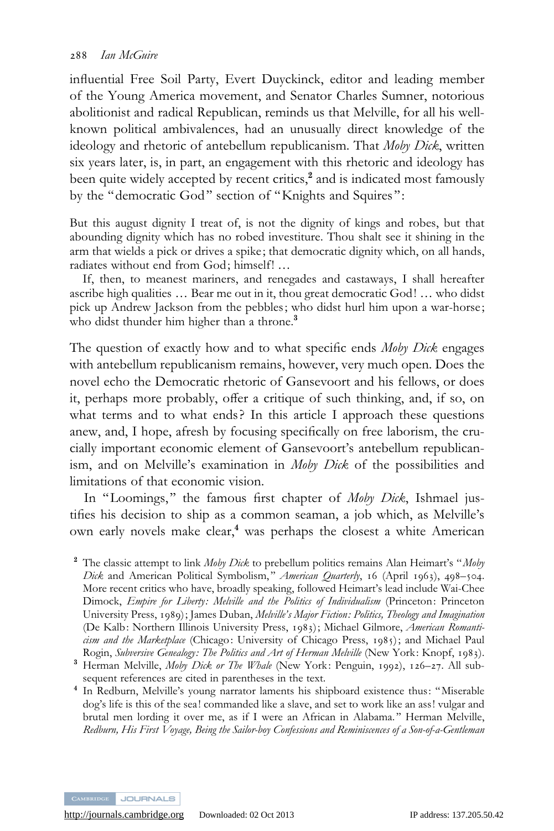### 288 Ian McGuire

influential Free Soil Party, Evert Duyckinck, editor and leading member of the Young America movement, and Senator Charles Sumner, notorious abolitionist and radical Republican, reminds us that Melville, for all his wellknown political ambivalences, had an unusually direct knowledge of the ideology and rhetoric of antebellum republicanism. That Moby Dick, written six years later, is, in part, an engagement with this rhetoric and ideology has been quite widely accepted by recent critics, $^2$  and is indicated most famously by the '' democratic God'' section of ''Knights and Squires'':

But this august dignity I treat of, is not the dignity of kings and robes, but that abounding dignity which has no robed investiture. Thou shalt see it shining in the arm that wields a pick or drives a spike; that democratic dignity which, on all hands, radiates without end from God; himself! ...<br>If, then, to meanest mariners, and renegades and castaways, I shall hereafter

ascribe high qualities ... Bear me out in it, thou great democratic God! ... who didst pick up Andrew Jackson from the pebbles; who didst hurl him upon a war-horse; who didst thunder him higher than a throne.<sup>3</sup>

The question of exactly how and to what specific ends *Moby Dick* engages with antebellum republicanism remains, however, very much open. Does the novel echo the Democratic rhetoric of Gansevoort and his fellows, or does it, perhaps more probably, offer a critique of such thinking, and, if so, on what terms and to what ends? In this article I approach these questions anew, and, I hope, afresh by focusing specifically on free laborism, the crucially important economic element of Gansevoort's antebellum republicanism, and on Melville's examination in Moby Dick of the possibilities and limitations of that economic vision.

In "Loomings," the famous first chapter of Moby Dick, Ishmael justifies his decision to ship as a common seaman, a job which, as Melville's own early novels make clear,<sup>4</sup> was perhaps the closest a white American

<sup>&</sup>lt;sup>2</sup> The classic attempt to link *Moby Dick* to prebellum politics remains Alan Heimart's "Moby Dick and American Political Symbolism," American Quarterly, 16 (April 1963), 498-504. More recent critics who have, broadly speaking, followed Heimart's lead include Wai-Chee Dimock, Empire for Liberty: Melville and the Politics of Individualism (Princeton: Princeton University Press, 1989); James Duban, Melville's Major Fiction: Politics, Theology and Imagination (De Kalb: Northern Illinois University Press, 1983); Michael Gilmore, American Romanticism and the Marketplace (Chicago: University of Chicago Press, 1985); and Michael Paul

Rogin, Subversive Genealogy: The Politics and Art of Herman Melville (New York: Knopf, 1983).<br><sup>3</sup> Herman Melville, *Moby Dick or The Whale* (New York: Penguin, 1992), 126–27. All sub-<br>sequent references are cited in parent

<sup>&</sup>lt;sup>4</sup> In Redburn, Melville's young narrator laments his shipboard existence thus: "Miserable dog's life is this of the sea! commanded like a slave, and set to work like an ass! vulgar and brutal men lording it over me, as if I were an African in Alabama.'' Herman Melville, Redburn, His First Voyage, Being the Sailor-boy Confessions and Reminiscences of a Son-of-a-Gentleman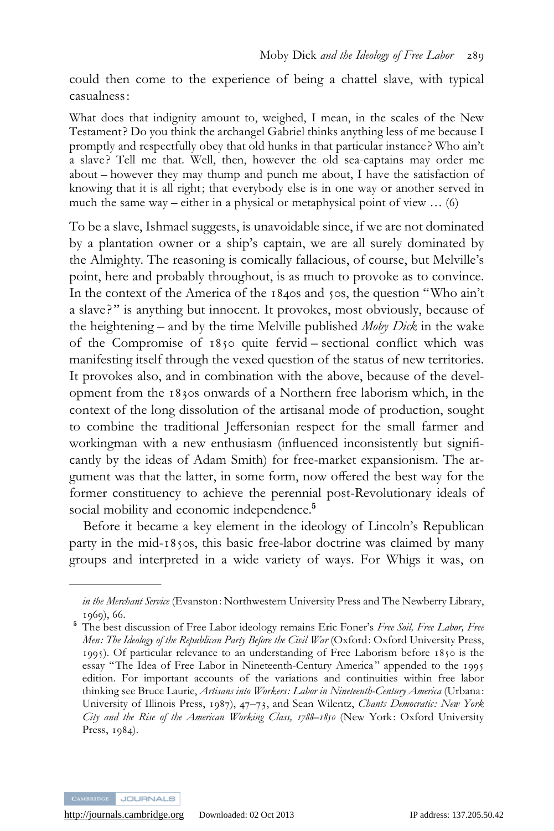could then come to the experience of being a chattel slave, with typical casualness:

What does that indignity amount to, weighed, I mean, in the scales of the New Testament ? Do you think the archangel Gabriel thinks anything less of me because I promptly and respectfully obey that old hunks in that particular instance ? Who ain't a slave ? Tell me that. Well, then, however the old sea-captains may order me about – however they may thump and punch me about, I have the satisfaction of knowing that it is all right; that everybody else is in one way or another served in much the same way – either in a physical or metaphysical point of view  $\dots$  (6)

To be a slave, Ishmael suggests, is unavoidable since, if we are not dominated by a plantation owner or a ship's captain, we are all surely dominated by the Almighty. The reasoning is comically fallacious, of course, but Melville's point, here and probably throughout, is as much to provoke as to convince. In the context of the America of the 1840s and 50s, the question ''Who ain't a slave ?'' is anything but innocent. It provokes, most obviously, because of the heightening – and by the time Melville published *Moby Dick* in the wake of the Compromise of 1850 quite fervid – sectional conflict which was manifesting itself through the vexed question of the status of new territories. It provokes also, and in combination with the above, because of the development from the 1830s onwards of a Northern free laborism which, in the context of the long dissolution of the artisanal mode of production, sought to combine the traditional Jeffersonian respect for the small farmer and workingman with a new enthusiasm (influenced inconsistently but significantly by the ideas of Adam Smith) for free-market expansionism. The argument was that the latter, in some form, now offered the best way for the former constituency to achieve the perennial post-Revolutionary ideals of social mobility and economic independence.<sup>5</sup>

Before it became a key element in the ideology of Lincoln's Republican party in the mid-1850s, this basic free-labor doctrine was claimed by many groups and interpreted in a wide variety of ways. For Whigs it was, on

in the Merchant Service (Evanston: Northwestern University Press and The Newberry Library,

<sup>1969), 66.&</sup>lt;br><sup>5</sup> The best discussion of Free Labor ideology remains Eric Foner's *Free Soil, Free Labor, Free* Men: The Ideology of the Republican Party Before the Civil War (Oxford: Oxford University Press, 1995). Of particular relevance to an understanding of Free Laborism before 1850 is the essay ''The Idea of Free Labor in Nineteenth-Century America'' appended to the 1995 edition. For important accounts of the variations and continuities within free labor thinking see Bruce Laurie, Artisans into Workers: Labor in Nineteenth-Century America (Urbana: University of Illinois Press, 1987), 47-73, and Sean Wilentz, Chants Democratic: New York City and the Rise of the American Working Class, 1788–1850 (New York: Oxford University Press, 1984).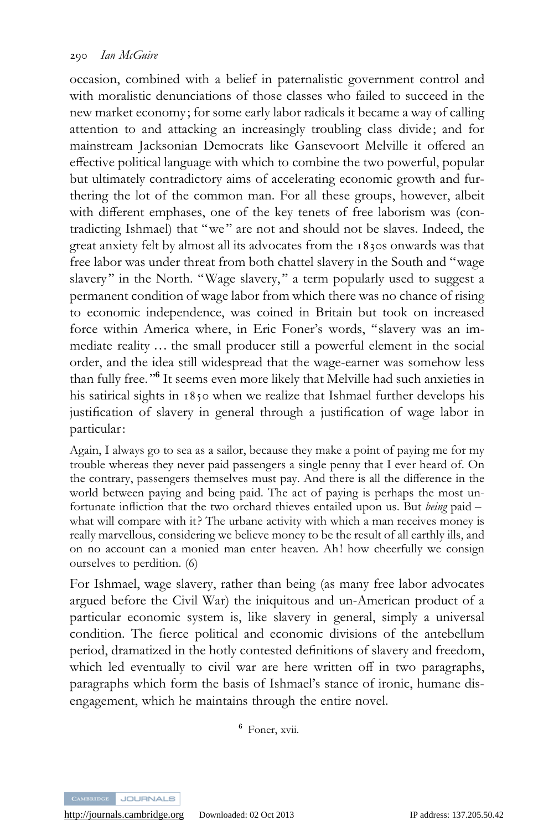occasion, combined with a belief in paternalistic government control and with moralistic denunciations of those classes who failed to succeed in the new market economy; for some early labor radicals it became a way of calling attention to and attacking an increasingly troubling class divide; and for mainstream Jacksonian Democrats like Gansevoort Melville it offered an effective political language with which to combine the two powerful, popular but ultimately contradictory aims of accelerating economic growth and furthering the lot of the common man. For all these groups, however, albeit with different emphases, one of the key tenets of free laborism was (contradicting Ishmael) that ''we'' are not and should not be slaves. Indeed, the great anxiety felt by almost all its advocates from the 1830s onwards was that free labor was under threat from both chattel slavery in the South and ''wage slavery" in the North. "Wage slavery," a term popularly used to suggest a permanent condition of wage labor from which there was no chance of rising to economic independence, was coined in Britain but took on increased force within America where, in Eric Foner's words, '' slavery was an immediate reality ... the small producer still a powerful element in the social order, and the idea still widespread that the wage-earner was somehow less than fully free.''<sup>6</sup> It seems even more likely that Melville had such anxieties in his satirical sights in 1850 when we realize that Ishmael further develops his justification of slavery in general through a justification of wage labor in particular:

Again, I always go to sea as a sailor, because they make a point of paying me for my trouble whereas they never paid passengers a single penny that I ever heard of. On the contrary, passengers themselves must pay. And there is all the difference in the world between paying and being paid. The act of paying is perhaps the most unfortunate infliction that the two orchard thieves entailed upon us. But being paid – what will compare with it? The urbane activity with which a man receives money is really marvellous, considering we believe money to be the result of all earthly ills, and on no account can a monied man enter heaven. Ah! how cheerfully we consign ourselves to perdition. (6)

For Ishmael, wage slavery, rather than being (as many free labor advocates argued before the Civil War) the iniquitous and un-American product of a particular economic system is, like slavery in general, simply a universal condition. The fierce political and economic divisions of the antebellum period, dramatized in the hotly contested definitions of slavery and freedom, which led eventually to civil war are here written off in two paragraphs, paragraphs which form the basis of Ishmael's stance of ironic, humane disengagement, which he maintains through the entire novel.

<sup>6</sup> Foner, xvii.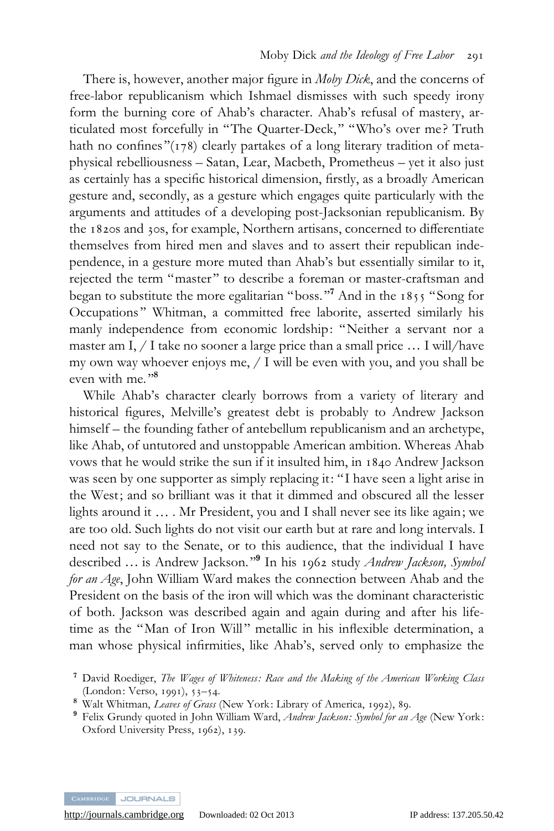There is, however, another major figure in *Moby Dick*, and the concerns of free-labor republicanism which Ishmael dismisses with such speedy irony form the burning core of Ahab's character. Ahab's refusal of mastery, articulated most forcefully in ''The Quarter-Deck,'' ''Who's over me ? Truth hath no confines"(178) clearly partakes of a long literary tradition of metaphysical rebelliousness – Satan, Lear, Macbeth, Prometheus – yet it also just as certainly has a specific historical dimension, firstly, as a broadly American gesture and, secondly, as a gesture which engages quite particularly with the arguments and attitudes of a developing post-Jacksonian republicanism. By the 1820s and 30s, for example, Northern artisans, concerned to differentiate themselves from hired men and slaves and to assert their republican independence, in a gesture more muted than Ahab's but essentially similar to it, rejected the term ''master'' to describe a foreman or master-craftsman and began to substitute the more egalitarian '' boss.''<sup>7</sup> And in the 1855 ''Song for Occupations'' Whitman, a committed free laborite, asserted similarly his manly independence from economic lordship: ''Neither a servant nor a master am I,  $\overline{I}$  I take no sooner a large price than a small price  $\ldots$  I will/have my own way whoever enjoys me, / I will be even with you, and you shall be even with me."<sup>8</sup>

While Ahab's character clearly borrows from a variety of literary and historical figures, Melville's greatest debt is probably to Andrew Jackson himself – the founding father of antebellum republicanism and an archetype, like Ahab, of untutored and unstoppable American ambition. Whereas Ahab vows that he would strike the sun if it insulted him, in 1840 Andrew Jackson was seen by one supporter as simply replacing it: "I have seen a light arise in the West; and so brilliant was it that it dimmed and obscured all the lesser lights around it ... . Mr President, you and I shall never see its like again; we are too old. Such lights do not visit our earth but at rare and long intervals. I need not say to the Senate, or to this audience, that the individual I have described ... is Andrew Jackson."<sup>9</sup> In his 1962 study Andrew Jackson, Symbol for an Age, John William Ward makes the connection between Ahab and the President on the basis of the iron will which was the dominant characteristic of both. Jackson was described again and again during and after his lifetime as the ''Man of Iron Will'' metallic in his inflexible determination, a man whose physical infirmities, like Ahab's, served only to emphasize the

<sup>&</sup>lt;sup>7</sup> David Roediger, The Wages of Whiteness: Race and the Making of the American Working Class (London: Verso, 1991), 53–54.<br>
<sup>8</sup> Walt Whitman, *Leaves of Grass* (New York: Library of America, 1992), 89.<br>
<sup>9</sup> Felix Grundy quoted in John William Ward, *Andrew Jackson: Symbol for an Age* (New York:

Oxford University Press, 1962), 139.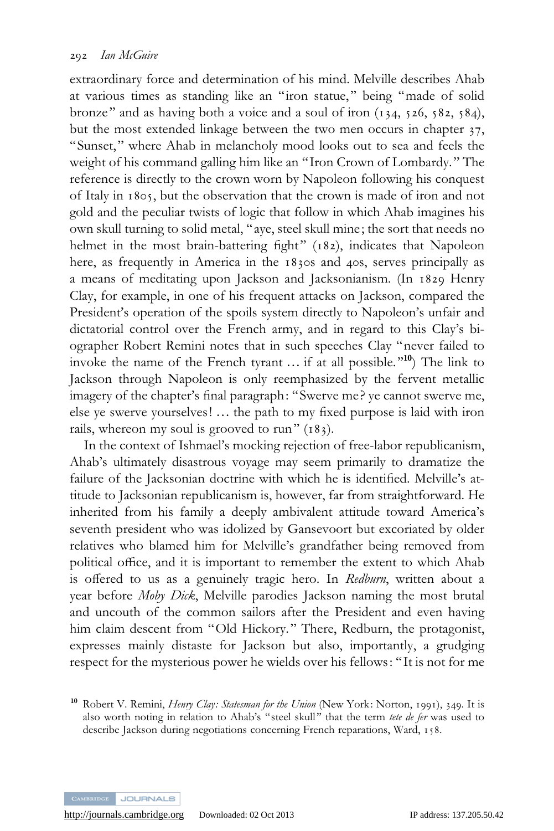extraordinary force and determination of his mind. Melville describes Ahab at various times as standing like an ''iron statue,'' being ''made of solid bronze'' and as having both a voice and a soul of iron (134, 526, 582, 584), but the most extended linkage between the two men occurs in chapter 37, ''Sunset,'' where Ahab in melancholy mood looks out to sea and feels the weight of his command galling him like an '' Iron Crown of Lombardy.'' The reference is directly to the crown worn by Napoleon following his conquest of Italy in 1805, but the observation that the crown is made of iron and not gold and the peculiar twists of logic that follow in which Ahab imagines his own skull turning to solid metal, '' aye, steel skull mine; the sort that needs no helmet in the most brain-battering fight" (182), indicates that Napoleon here, as frequently in America in the 1830s and 40s, serves principally as a means of meditating upon Jackson and Jacksonianism. (In 1829 Henry Clay, for example, in one of his frequent attacks on Jackson, compared the President's operation of the spoils system directly to Napoleon's unfair and dictatorial control over the French army, and in regard to this Clay's biographer Robert Remini notes that in such speeches Clay '' never failed to invoke the name of the French tyrant  $\ldots$  if at all possible."<sup>10</sup>) The link to Jackson through Napoleon is only reemphasized by the fervent metallic imagery of the chapter's final paragraph: ''Swerve me ? ye cannot swerve me, else ye swerve yourselves! ... the path to my fixed purpose is laid with iron rails, whereon my soul is grooved to run'' (183).

In the context of Ishmael's mocking rejection of free-labor republicanism, Ahab's ultimately disastrous voyage may seem primarily to dramatize the failure of the Jacksonian doctrine with which he is identified. Melville's attitude to Jacksonian republicanism is, however, far from straightforward. He inherited from his family a deeply ambivalent attitude toward America's seventh president who was idolized by Gansevoort but excoriated by older relatives who blamed him for Melville's grandfather being removed from political office, and it is important to remember the extent to which Ahab is offered to us as a genuinely tragic hero. In Redburn, written about a year before Moby Dick, Melville parodies Jackson naming the most brutal and uncouth of the common sailors after the President and even having him claim descent from "Old Hickory." There, Redburn, the protagonist, expresses mainly distaste for Jackson but also, importantly, a grudging respect for the mysterious power he wields over his fellows: '' It is not for me

<sup>&</sup>lt;sup>10</sup> Robert V. Remini, *Henry Clay: Statesman for the Union* (New York: Norton, 1991), 349. It is also worth noting in relation to Ahab's "steel skull" that the term tete de fer was used to describe Jackson during negotiations concerning French reparations, Ward, 158.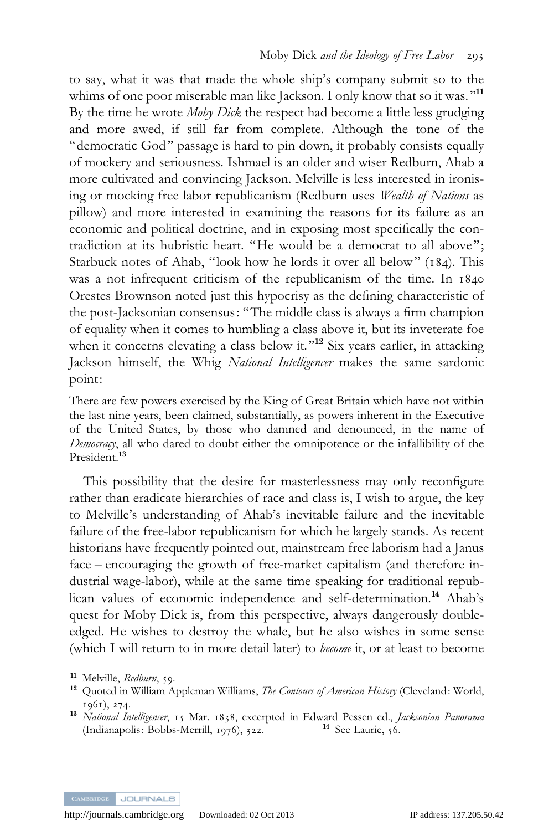to say, what it was that made the whole ship's company submit so to the whims of one poor miserable man like Jackson. I only know that so it was."<sup>11</sup> By the time he wrote  $M_0$  Dick the respect had become a little less grudging and more awed, if still far from complete. Although the tone of the '' democratic God'' passage is hard to pin down, it probably consists equally of mockery and seriousness. Ishmael is an older and wiser Redburn, Ahab a more cultivated and convincing Jackson. Melville is less interested in ironising or mocking free labor republicanism (Redburn uses Wealth of Nations as pillow) and more interested in examining the reasons for its failure as an economic and political doctrine, and in exposing most specifically the contradiction at its hubristic heart. ''He would be a democrat to all above''; Starbuck notes of Ahab, ''look how he lords it over all below'' (184). This was a not infrequent criticism of the republicanism of the time. In 1840 Orestes Brownson noted just this hypocrisy as the defining characteristic of the post-Jacksonian consensus: ''The middle class is always a firm champion of equality when it comes to humbling a class above it, but its inveterate foe when it concerns elevating a class below it."<sup>12</sup> Six years earlier, in attacking Jackson himself, the Whig National Intelligencer makes the same sardonic point:

There are few powers exercised by the King of Great Britain which have not within the last nine years, been claimed, substantially, as powers inherent in the Executive of the United States, by those who damned and denounced, in the name of Democracy, all who dared to doubt either the omnipotence or the infallibility of the President.<sup>13</sup>

This possibility that the desire for masterlessness may only reconfigure rather than eradicate hierarchies of race and class is, I wish to argue, the key to Melville's understanding of Ahab's inevitable failure and the inevitable failure of the free-labor republicanism for which he largely stands. As recent historians have frequently pointed out, mainstream free laborism had a Janus face – encouraging the growth of free-market capitalism (and therefore industrial wage-labor), while at the same time speaking for traditional republican values of economic independence and self-determination.<sup>14</sup> Ahab's quest for Moby Dick is, from this perspective, always dangerously doubleedged. He wishes to destroy the whale, but he also wishes in some sense (which I will return to in more detail later) to become it, or at least to become

<sup>&</sup>lt;sup>11</sup> Melville, *Redburn*, 59.<br><sup>12</sup> Quoted in William Appleman Williams, *The Contours of American History* (Cleveland: World,

<sup>1961), 274.&</sup>lt;br><sup>13</sup> National Intelligencer, 15 Mar. 1838, excerpted in Edward Pessen ed., *Jacksonian Panorama*<br>(Indianapolis: Bobbs-Merrill, 1976), 322. <sup>14</sup> See Laurie, 56. (Indianapolis: Bobbs-Merrill, 1976), 322.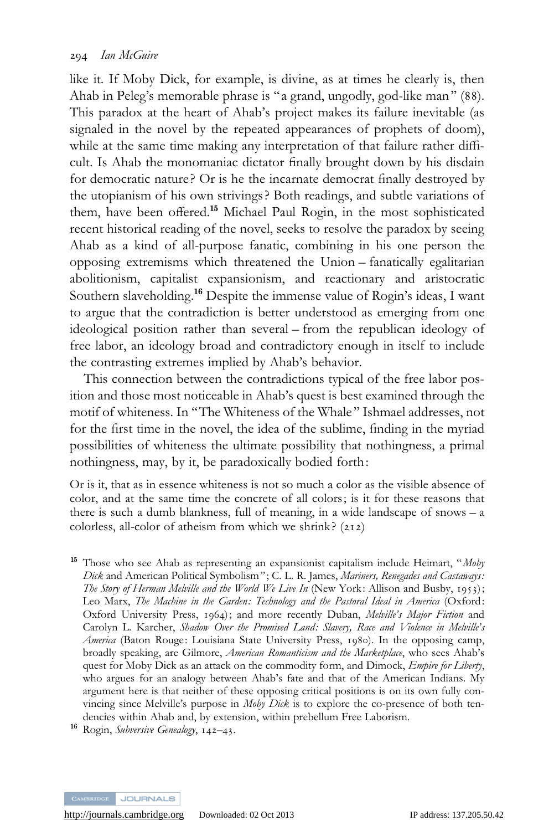like it. If Moby Dick, for example, is divine, as at times he clearly is, then Ahab in Peleg's memorable phrase is '' a grand, ungodly, god-like man'' (88). This paradox at the heart of Ahab's project makes its failure inevitable (as signaled in the novel by the repeated appearances of prophets of doom), while at the same time making any interpretation of that failure rather difficult. Is Ahab the monomaniac dictator finally brought down by his disdain for democratic nature ? Or is he the incarnate democrat finally destroyed by the utopianism of his own strivings ? Both readings, and subtle variations of them, have been offered.<sup>15</sup> Michael Paul Rogin, in the most sophisticated recent historical reading of the novel, seeks to resolve the paradox by seeing Ahab as a kind of all-purpose fanatic, combining in his one person the opposing extremisms which threatened the Union – fanatically egalitarian abolitionism, capitalist expansionism, and reactionary and aristocratic Southern slaveholding.<sup>16</sup> Despite the immense value of Rogin's ideas, I want to argue that the contradiction is better understood as emerging from one ideological position rather than several – from the republican ideology of free labor, an ideology broad and contradictory enough in itself to include the contrasting extremes implied by Ahab's behavior.

This connection between the contradictions typical of the free labor position and those most noticeable in Ahab's quest is best examined through the motif of whiteness. In ''The Whiteness of the Whale'' Ishmael addresses, not for the first time in the novel, the idea of the sublime, finding in the myriad possibilities of whiteness the ultimate possibility that nothingness, a primal nothingness, may, by it, be paradoxically bodied forth:

Or is it, that as in essence whiteness is not so much a color as the visible absence of color, and at the same time the concrete of all colors; is it for these reasons that there is such a dumb blankness, full of meaning, in a wide landscape of snows – a colorless, all-color of atheism from which we shrink ? (212)

- <sup>15</sup> Those who see Ahab as representing an expansionist capitalism include Heimart, "Moby Dick and American Political Symbolism"; C. L. R. James, Mariners, Renegades and Castaways: The Story of Herman Melville and the World We Live In (New York: Allison and Busby, 1953); Leo Marx, The Machine in the Garden: Technology and the Pastoral Ideal in America (Oxford: Oxford University Press, 1964); and more recently Duban, Melville's Major Fiction and Carolyn L. Karcher, Shadow Over the Promised Land: Slavery, Race and Violence in Melville's America (Baton Rouge: Louisiana State University Press, 1980). In the opposing camp, broadly speaking, are Gilmore, American Romanticism and the Marketplace, who sees Ahab's quest for Moby Dick as an attack on the commodity form, and Dimock, *Empire for Liberty*, who argues for an analogy between Ahab's fate and that of the American Indians. My argument here is that neither of these opposing critical positions is on its own fully convincing since Melville's purpose in Moby Dick is to explore the co-presence of both tendencies within Ahab and, by extension, within prebellum Free Laborism.<br><sup>16</sup> Rogin, Subversive Genealogy, 142–43.
- 

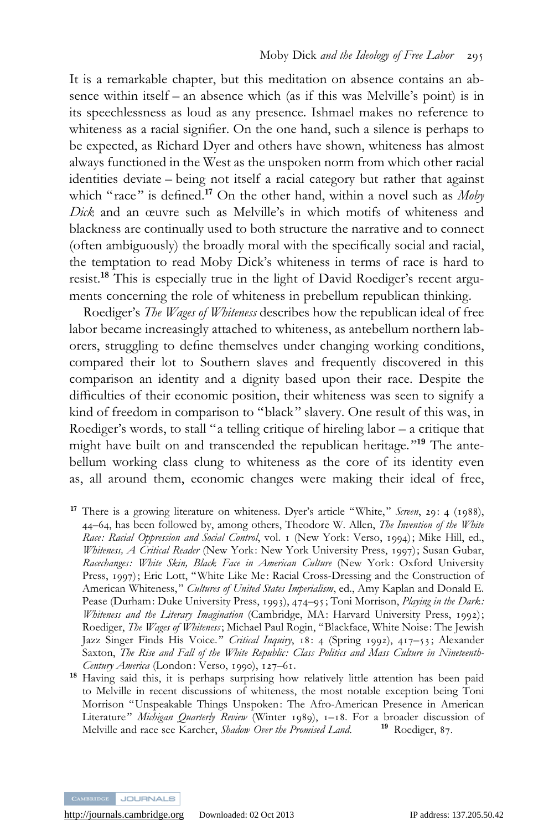It is a remarkable chapter, but this meditation on absence contains an absence within itself – an absence which (as if this was Melville's point) is in its speechlessness as loud as any presence. Ishmael makes no reference to whiteness as a racial signifier. On the one hand, such a silence is perhaps to be expected, as Richard Dyer and others have shown, whiteness has almost always functioned in the West as the unspoken norm from which other racial identities deviate – being not itself a racial category but rather that against which "race" is defined.<sup>17</sup> On the other hand, within a novel such as  $Moby$ Dick and an œuvre such as Melville's in which motifs of whiteness and blackness are continually used to both structure the narrative and to connect (often ambiguously) the broadly moral with the specifically social and racial, the temptation to read Moby Dick's whiteness in terms of race is hard to resist.<sup>18</sup> This is especially true in the light of David Roediger's recent arguments concerning the role of whiteness in prebellum republican thinking.

Roediger's *The Wages of Whiteness* describes how the republican ideal of free labor became increasingly attached to whiteness, as antebellum northern laborers, struggling to define themselves under changing working conditions, compared their lot to Southern slaves and frequently discovered in this comparison an identity and a dignity based upon their race. Despite the difficulties of their economic position, their whiteness was seen to signify a kind of freedom in comparison to '' black'' slavery. One result of this was, in Roediger's words, to stall "a telling critique of hireling labor  $-$  a critique that might have built on and transcended the republican heritage."<sup>19</sup> The antebellum working class clung to whiteness as the core of its identity even as, all around them, economic changes were making their ideal of free,

<sup>17</sup> There is a growing literature on whiteness. Dyer's article "White," *Screen*, 29: 4 (1988), 44–64, has been followed by, among others, Theodore W. Allen, The Invention of the White Race: Racial Oppression and Social Control, vol. 1 (New York: Verso, 1994); Mike Hill, ed., Whiteness, A Critical Reader (New York: New York University Press, 1997); Susan Gubar, Racechanges: White Skin, Black Face in American Culture (New York: Oxford University Press, 1997); Eric Lott, ''White Like Me: Racial Cross-Dressing and the Construction of American Whiteness," Cultures of United States Imperialism, ed., Amy Kaplan and Donald E. Pease (Durham: Duke University Press, 1993), 474–95; Toni Morrison, Playing in the Dark: Whiteness and the Literary Imagination (Cambridge, MA: Harvard University Press, 1992); Roediger, The Wages of Whiteness; Michael Paul Rogin, "Blackface, White Noise: The Jewish Jazz Singer Finds His Voice." Critical Inquiry, 18: 4 (Spring 1992), 417-53; Alexander Saxton, The Rise and Fall of the White Republic: Class Politics and Mass Culture in Nineteenth-

Century America (London: Verso, 1990), 127–61.<br><sup>18</sup> Having said this, it is perhaps surprising how relatively little attention has been paid to Melville in recent discussions of whiteness, the most notable exception being Toni Morrison ''Unspeakable Things Unspoken: The Afro-American Presence in American Literature" Michigan Quarterly Review (Winter 1989), 1–18. For a broader discussion of Melville and race see Karcher, *Shadow Over the Promised Land.* <sup>19</sup> Roediger, 87. Melville and race see Karcher, Shadow Over the Promised Land.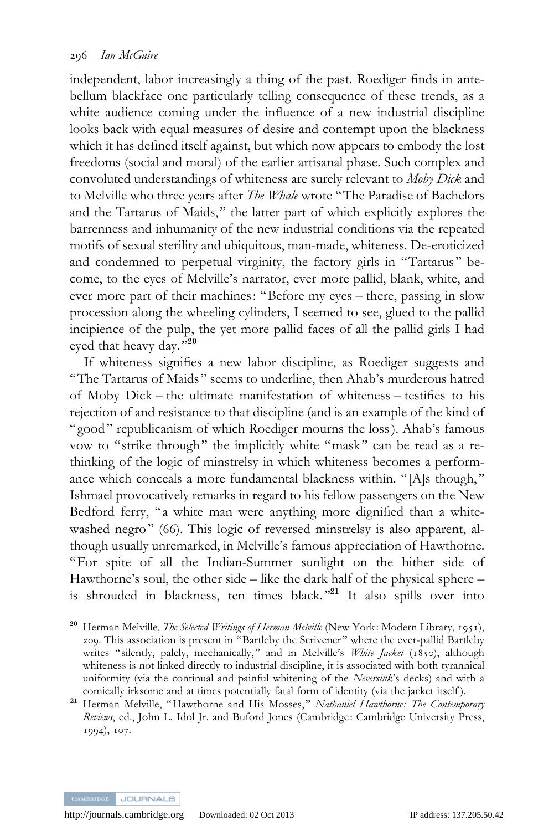independent, labor increasingly a thing of the past. Roediger finds in antebellum blackface one particularly telling consequence of these trends, as a white audience coming under the influence of a new industrial discipline looks back with equal measures of desire and contempt upon the blackness which it has defined itself against, but which now appears to embody the lost freedoms (social and moral) of the earlier artisanal phase. Such complex and convoluted understandings of whiteness are surely relevant to Moby Dick and to Melville who three years after *The Whale* wrote "The Paradise of Bachelors and the Tartarus of Maids,'' the latter part of which explicitly explores the barrenness and inhumanity of the new industrial conditions via the repeated motifs of sexual sterility and ubiquitous, man-made, whiteness. De-eroticized and condemned to perpetual virginity, the factory girls in ''Tartarus'' become, to the eyes of Melville's narrator, ever more pallid, blank, white, and ever more part of their machines: ''Before my eyes – there, passing in slow procession along the wheeling cylinders, I seemed to see, glued to the pallid incipience of the pulp, the yet more pallid faces of all the pallid girls I had eyed that heavy day."20

If whiteness signifies a new labor discipline, as Roediger suggests and ''The Tartarus of Maids'' seems to underline, then Ahab's murderous hatred of Moby Dick – the ultimate manifestation of whiteness – testifies to his rejection of and resistance to that discipline (and is an example of the kind of ''good'' republicanism of which Roediger mourns the loss). Ahab's famous vow to "strike through" the implicitly white "mask" can be read as a rethinking of the logic of minstrelsy in which whiteness becomes a performance which conceals a more fundamental blackness within. ''[A]s though,'' Ishmael provocatively remarks in regard to his fellow passengers on the New Bedford ferry, "a white man were anything more dignified than a whitewashed negro" (66). This logic of reversed minstrelsy is also apparent, although usually unremarked, in Melville's famous appreciation of Hawthorne. ''For spite of all the Indian-Summer sunlight on the hither side of Hawthorne's soul, the other side – like the dark half of the physical sphere – is shrouded in blackness, ten times black."<sup>21</sup> It also spills over into

<sup>&</sup>lt;sup>20</sup> Herman Melville, *The Selected Writings of Herman Melville* (New York: Modern Library, 1951), 209. This association is present in ''Bartleby the Scrivener'' where the ever-pallid Bartleby writes "silently, palely, mechanically," and in Melville's White Jacket (1850), although whiteness is not linked directly to industrial discipline, it is associated with both tyrannical uniformity (via the continual and painful whitening of the Neversink's decks) and with a

comically irksome and at times potentially fatal form of identity (via the jacket itself).<br><sup>21</sup> Herman Melville, "Hawthorne and His Mosses," *Nathaniel Hawthorne: The Contemporary* Reviews, ed., John L. Idol Jr. and Buford Jones (Cambridge: Cambridge University Press, 1994), 107.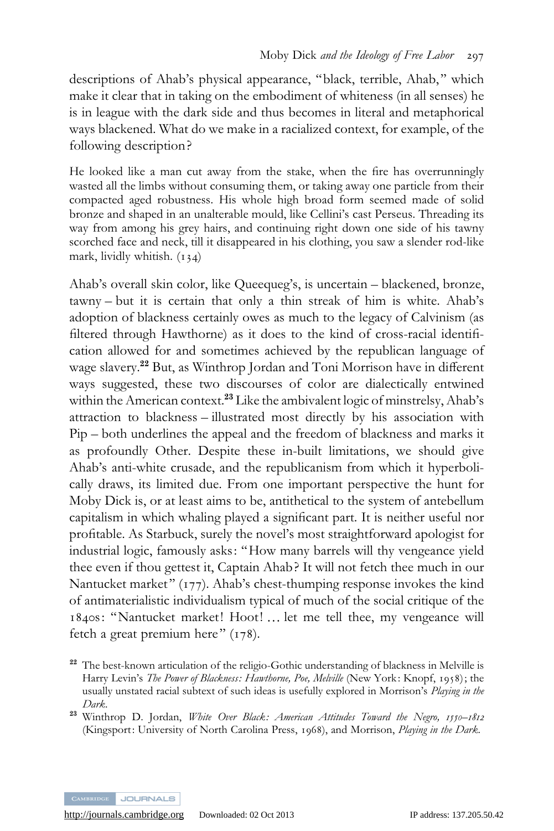descriptions of Ahab's physical appearance, '' black, terrible, Ahab,'' which make it clear that in taking on the embodiment of whiteness (in all senses) he is in league with the dark side and thus becomes in literal and metaphorical ways blackened. What do we make in a racialized context, for example, of the following description ?

He looked like a man cut away from the stake, when the fire has overrunningly wasted all the limbs without consuming them, or taking away one particle from their compacted aged robustness. His whole high broad form seemed made of solid bronze and shaped in an unalterable mould, like Cellini's cast Perseus. Threading its way from among his grey hairs, and continuing right down one side of his tawny scorched face and neck, till it disappeared in his clothing, you saw a slender rod-like mark, lividly whitish. (134)

Ahab's overall skin color, like Queequeg's, is uncertain – blackened, bronze, tawny – but it is certain that only a thin streak of him is white. Ahab's adoption of blackness certainly owes as much to the legacy of Calvinism (as filtered through Hawthorne) as it does to the kind of cross-racial identification allowed for and sometimes achieved by the republican language of wage slavery.<sup>22</sup> But, as Winthrop Jordan and Toni Morrison have in different ways suggested, these two discourses of color are dialectically entwined within the American context.<sup>23</sup> Like the ambivalent logic of minstrelsy, Ahab's attraction to blackness – illustrated most directly by his association with Pip – both underlines the appeal and the freedom of blackness and marks it as profoundly Other. Despite these in-built limitations, we should give Ahab's anti-white crusade, and the republicanism from which it hyperbolically draws, its limited due. From one important perspective the hunt for Moby Dick is, or at least aims to be, antithetical to the system of antebellum capitalism in which whaling played a significant part. It is neither useful nor profitable. As Starbuck, surely the novel's most straightforward apologist for industrial logic, famously asks: ''How many barrels will thy vengeance yield thee even if thou gettest it, Captain Ahab ? It will not fetch thee much in our Nantucket market'' (177). Ahab's chest-thumping response invokes the kind of antimaterialistic individualism typical of much of the social critique of the 1840s: "Nantucket market! Hoot! ... let me tell thee, my vengeance will fetch a great premium here'' (178).

<sup>&</sup>lt;sup>22</sup> The best-known articulation of the religio-Gothic understanding of blackness in Melville is Harry Levin's The Power of Blackness: Hawthorne, Poe, Melville (New York: Knopf, 1958); the usually unstated racial subtext of such ideas is usefully explored in Morrison's Playing in the

Dark.<br><sup>23</sup> Winthrop D. Jordan, *White Over Black: American Attitudes Toward the Negro, 1550–1812* (Kingsport: University of North Carolina Press, 1968), and Morrison, Playing in the Dark.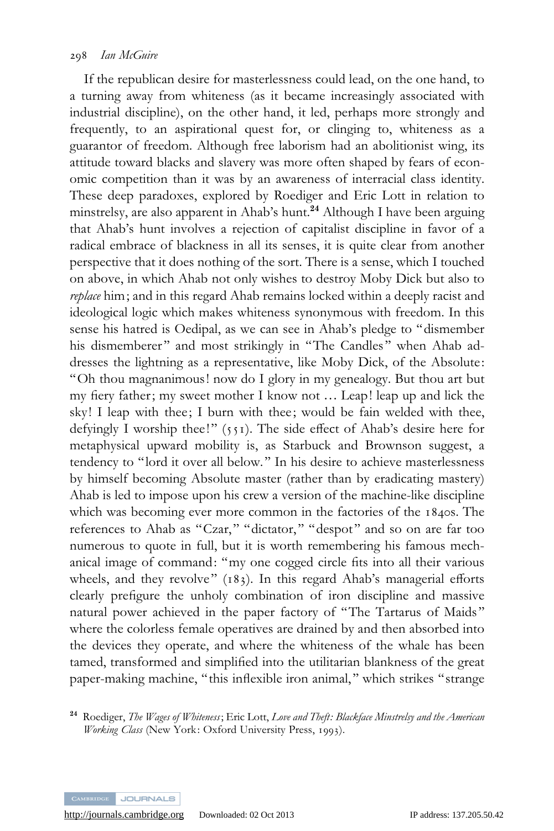If the republican desire for masterlessness could lead, on the one hand, to a turning away from whiteness (as it became increasingly associated with industrial discipline), on the other hand, it led, perhaps more strongly and frequently, to an aspirational quest for, or clinging to, whiteness as a guarantor of freedom. Although free laborism had an abolitionist wing, its attitude toward blacks and slavery was more often shaped by fears of economic competition than it was by an awareness of interracial class identity. These deep paradoxes, explored by Roediger and Eric Lott in relation to minstrelsy, are also apparent in Ahab's hunt.<sup>24</sup> Although I have been arguing that Ahab's hunt involves a rejection of capitalist discipline in favor of a radical embrace of blackness in all its senses, it is quite clear from another perspective that it does nothing of the sort. There is a sense, which I touched on above, in which Ahab not only wishes to destroy Moby Dick but also to replace him; and in this regard Ahab remains locked within a deeply racist and ideological logic which makes whiteness synonymous with freedom. In this sense his hatred is Oedipal, as we can see in Ahab's pledge to ''dismember his dismemberer'' and most strikingly in ''The Candles'' when Ahab addresses the lightning as a representative, like Moby Dick, of the Absolute: ''Oh thou magnanimous! now do I glory in my genealogy. But thou art but my fiery father; my sweet mother I know not ... Leap! leap up and lick the sky! I leap with thee; I burn with thee; would be fain welded with thee, defyingly I worship thee!'' (551). The side effect of Ahab's desire here for metaphysical upward mobility is, as Starbuck and Brownson suggest, a tendency to ''lord it over all below.'' In his desire to achieve masterlessness by himself becoming Absolute master (rather than by eradicating mastery) Ahab is led to impose upon his crew a version of the machine-like discipline which was becoming ever more common in the factories of the 1840s. The references to Ahab as "Czar," "dictator," "despot" and so on are far too numerous to quote in full, but it is worth remembering his famous mechanical image of command: ''my one cogged circle fits into all their various wheels, and they revolve" (183). In this regard Ahab's managerial efforts clearly prefigure the unholy combination of iron discipline and massive natural power achieved in the paper factory of ''The Tartarus of Maids'' where the colorless female operatives are drained by and then absorbed into the devices they operate, and where the whiteness of the whale has been tamed, transformed and simplified into the utilitarian blankness of the great paper-making machine, "this inflexible iron animal," which strikes "strange

<sup>&</sup>lt;sup>24</sup> Roediger, The Wages of Whiteness; Eric Lott, Love and Theft: Blackface Minstrelsy and the American Working Class (New York: Oxford University Press, 1993).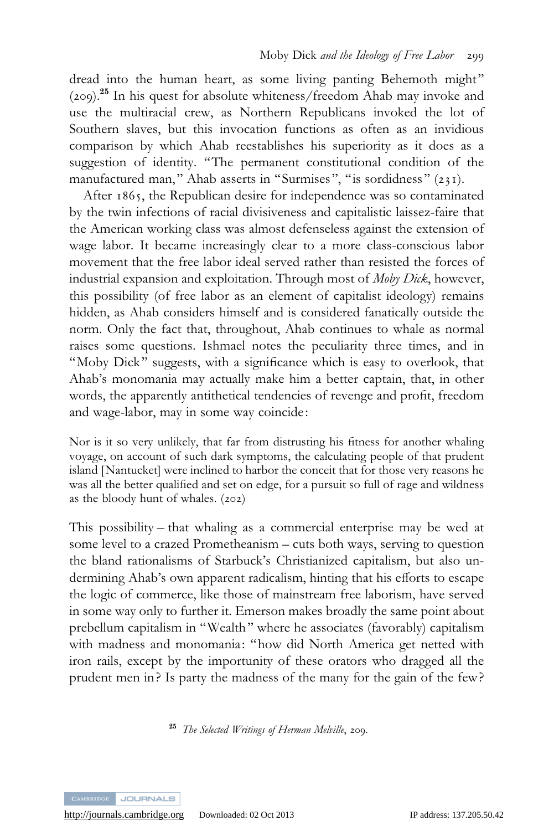dread into the human heart, as some living panting Behemoth might'' (209).<sup>25</sup> In his quest for absolute whiteness/freedom Ahab may invoke and use the multiracial crew, as Northern Republicans invoked the lot of Southern slaves, but this invocation functions as often as an invidious comparison by which Ahab reestablishes his superiority as it does as a suggestion of identity. ''The permanent constitutional condition of the manufactured man," Ahab asserts in "Surmises", "is sordidness" (231).

After 1865, the Republican desire for independence was so contaminated by the twin infections of racial divisiveness and capitalistic laissez-faire that the American working class was almost defenseless against the extension of wage labor. It became increasingly clear to a more class-conscious labor movement that the free labor ideal served rather than resisted the forces of industrial expansion and exploitation. Through most of *Moby Dick*, however, this possibility (of free labor as an element of capitalist ideology) remains hidden, as Ahab considers himself and is considered fanatically outside the norm. Only the fact that, throughout, Ahab continues to whale as normal raises some questions. Ishmael notes the peculiarity three times, and in ''Moby Dick'' suggests, with a significance which is easy to overlook, that Ahab's monomania may actually make him a better captain, that, in other words, the apparently antithetical tendencies of revenge and profit, freedom and wage-labor, may in some way coincide:

Nor is it so very unlikely, that far from distrusting his fitness for another whaling voyage, on account of such dark symptoms, the calculating people of that prudent island [Nantucket] were inclined to harbor the conceit that for those very reasons he was all the better qualified and set on edge, for a pursuit so full of rage and wildness as the bloody hunt of whales. (202)

This possibility – that whaling as a commercial enterprise may be wed at some level to a crazed Prometheanism – cuts both ways, serving to question the bland rationalisms of Starbuck's Christianized capitalism, but also undermining Ahab's own apparent radicalism, hinting that his efforts to escape the logic of commerce, like those of mainstream free laborism, have served in some way only to further it. Emerson makes broadly the same point about prebellum capitalism in ''Wealth'' where he associates (favorably) capitalism with madness and monomania: "how did North America get netted with iron rails, except by the importunity of these orators who dragged all the prudent men in? Is party the madness of the many for the gain of the few?

 $25$  The Selected Writings of Herman Melville, 209.

CAMBRIDGE JOURNALS

<http://journals.cambridge.org> Downloaded: 02 Oct 2013 IP address: 137.205.50.42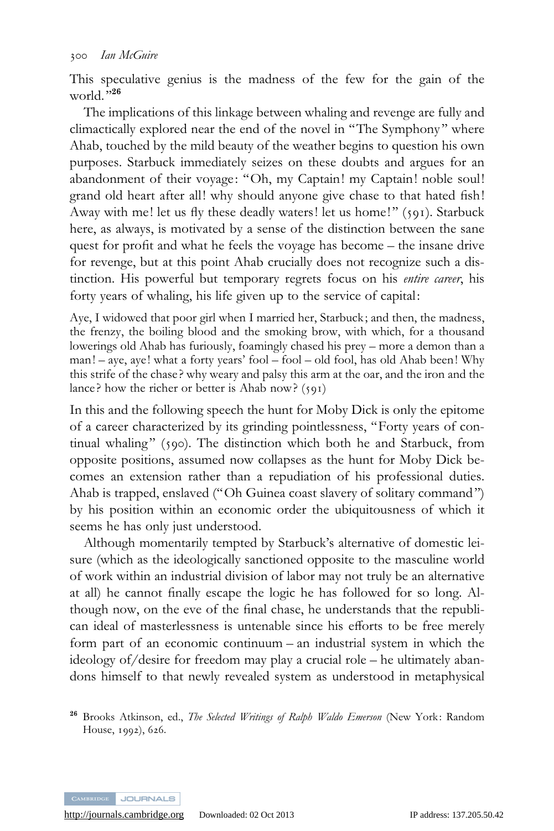This speculative genius is the madness of the few for the gain of the world."26

The implications of this linkage between whaling and revenge are fully and climactically explored near the end of the novel in ''The Symphony'' where Ahab, touched by the mild beauty of the weather begins to question his own purposes. Starbuck immediately seizes on these doubts and argues for an abandonment of their voyage: ''Oh, my Captain! my Captain! noble soul! grand old heart after all! why should anyone give chase to that hated fish! Away with me! let us fly these deadly waters! let us home!" (591). Starbuck here, as always, is motivated by a sense of the distinction between the sane quest for profit and what he feels the voyage has become – the insane drive for revenge, but at this point Ahab crucially does not recognize such a distinction. His powerful but temporary regrets focus on his entire career, his forty years of whaling, his life given up to the service of capital:

Aye, I widowed that poor girl when I married her, Starbuck; and then, the madness, the frenzy, the boiling blood and the smoking brow, with which, for a thousand lowerings old Ahab has furiously, foamingly chased his prey – more a demon than a man! – aye, aye! what a forty years' fool – fool – old fool, has old Ahab been! Why this strife of the chase ? why weary and palsy this arm at the oar, and the iron and the lance? how the richer or better is Ahab now?  $(591)$ 

In this and the following speech the hunt for Moby Dick is only the epitome of a career characterized by its grinding pointlessness, ''Forty years of continual whaling'' (590). The distinction which both he and Starbuck, from opposite positions, assumed now collapses as the hunt for Moby Dick becomes an extension rather than a repudiation of his professional duties. Ahab is trapped, enslaved (''Oh Guinea coast slavery of solitary command'') by his position within an economic order the ubiquitousness of which it seems he has only just understood.

Although momentarily tempted by Starbuck's alternative of domestic leisure (which as the ideologically sanctioned opposite to the masculine world of work within an industrial division of labor may not truly be an alternative at all) he cannot finally escape the logic he has followed for so long. Although now, on the eve of the final chase, he understands that the republican ideal of masterlessness is untenable since his efforts to be free merely form part of an economic continuum – an industrial system in which the ideology of/desire for freedom may play a crucial role – he ultimately abandons himself to that newly revealed system as understood in metaphysical

CAMBRIDGE JOURNALS

<sup>&</sup>lt;sup>26</sup> Brooks Atkinson, ed., *The Selected Writings of Ralph Waldo Emerson* (New York: Random House, 1992), 626.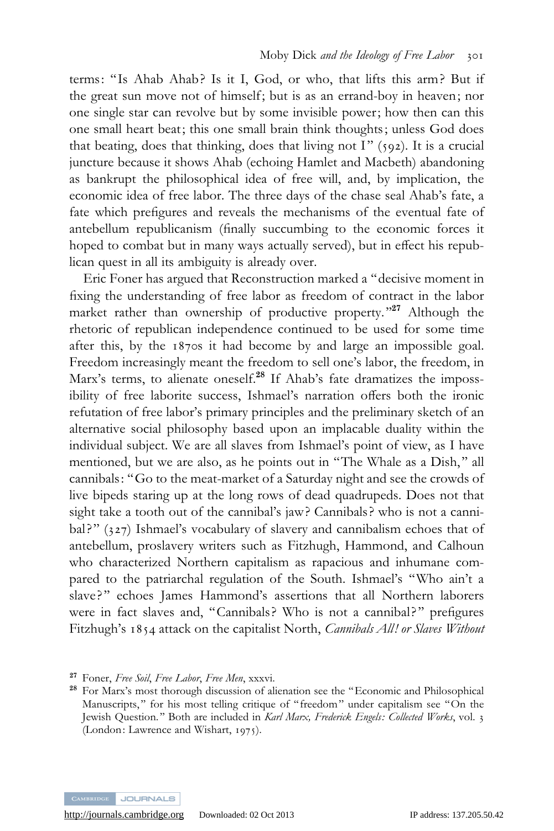terms: "Is Ahab Ahab? Is it I, God, or who, that lifts this arm? But if the great sun move not of himself; but is as an errand-boy in heaven; nor one single star can revolve but by some invisible power; how then can this one small heart beat; this one small brain think thoughts; unless God does that beating, does that thinking, does that living not  $I''$  (592). It is a crucial juncture because it shows Ahab (echoing Hamlet and Macbeth) abandoning as bankrupt the philosophical idea of free will, and, by implication, the economic idea of free labor. The three days of the chase seal Ahab's fate, a fate which prefigures and reveals the mechanisms of the eventual fate of antebellum republicanism (finally succumbing to the economic forces it hoped to combat but in many ways actually served), but in effect his republican quest in all its ambiguity is already over.

Eric Foner has argued that Reconstruction marked a '' decisive moment in fixing the understanding of free labor as freedom of contract in the labor market rather than ownership of productive property."<sup>27</sup> Although the rhetoric of republican independence continued to be used for some time after this, by the 1870s it had become by and large an impossible goal. Freedom increasingly meant the freedom to sell one's labor, the freedom, in Marx's terms, to alienate oneself.<sup>28</sup> If Ahab's fate dramatizes the impossibility of free laborite success, Ishmael's narration offers both the ironic refutation of free labor's primary principles and the preliminary sketch of an alternative social philosophy based upon an implacable duality within the individual subject. We are all slaves from Ishmael's point of view, as I have mentioned, but we are also, as he points out in "The Whale as a Dish," all cannibals: ''Go to the meat-market of a Saturday night and see the crowds of live bipeds staring up at the long rows of dead quadrupeds. Does not that sight take a tooth out of the cannibal's jaw? Cannibals? who is not a cannibal?" (327) Ishmael's vocabulary of slavery and cannibalism echoes that of antebellum, proslavery writers such as Fitzhugh, Hammond, and Calhoun who characterized Northern capitalism as rapacious and inhumane compared to the patriarchal regulation of the South. Ishmael's ''Who ain't a slave?" echoes James Hammond's assertions that all Northern laborers were in fact slaves and, "Cannibals? Who is not a cannibal?" prefigures Fitzhugh's 1854 attack on the capitalist North, Cannibals All! or Slaves Without

<sup>&</sup>lt;sup>27</sup> Foner, *Free Soil, Free Labor, Free Men*, xxxvi.<br><sup>28</sup> For Marx's most thorough discussion of alienation see the "Economic and Philosophical Manuscripts," for his most telling critique of "freedom" under capitalism see "On the Jewish Question." Both are included in Karl Marx, Frederick Engels: Collected Works, vol. 3 (London: Lawrence and Wishart, 1975).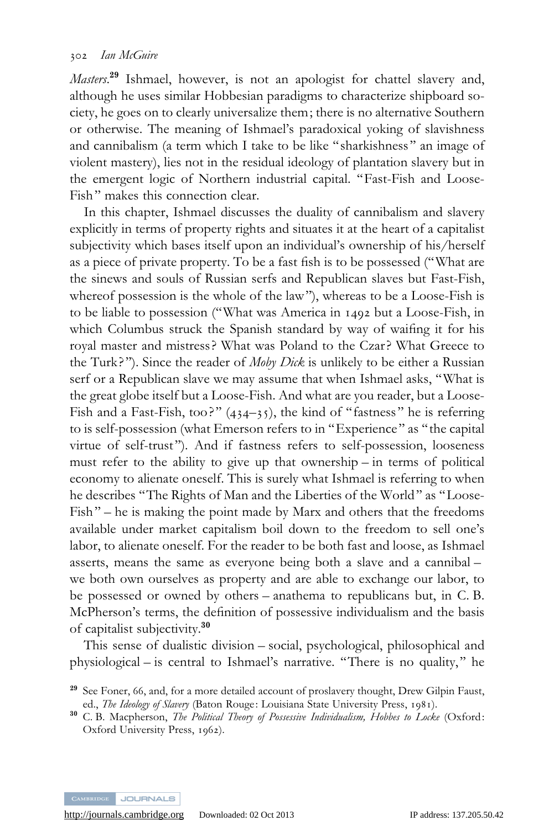#### 302 Ian McGuire

Masters.<sup>29</sup> Ishmael, however, is not an apologist for chattel slavery and, although he uses similar Hobbesian paradigms to characterize shipboard society, he goes on to clearly universalize them; there is no alternative Southern or otherwise. The meaning of Ishmael's paradoxical yoking of slavishness and cannibalism (a term which I take to be like '' sharkishness'' an image of violent mastery), lies not in the residual ideology of plantation slavery but in the emergent logic of Northern industrial capital. "Fast-Fish and Loose-Fish'' makes this connection clear.

In this chapter, Ishmael discusses the duality of cannibalism and slavery explicitly in terms of property rights and situates it at the heart of a capitalist subjectivity which bases itself upon an individual's ownership of his/herself as a piece of private property. To be a fast fish is to be possessed (''What are the sinews and souls of Russian serfs and Republican slaves but Fast-Fish, whereof possession is the whole of the law''), whereas to be a Loose-Fish is to be liable to possession (''What was America in 1492 but a Loose-Fish, in which Columbus struck the Spanish standard by way of waifing it for his royal master and mistress? What was Poland to the Czar? What Greece to the Turk?"). Since the reader of *Moby Dick* is unlikely to be either a Russian serf or a Republican slave we may assume that when Ishmael asks, ''What is the great globe itself but a Loose-Fish. And what are you reader, but a Loose-Fish and a Fast-Fish, too?"  $(434-35)$ , the kind of "fastness" he is referring to is self-possession (what Emerson refers to in ''Experience'' as ''the capital virtue of self-trust''). And if fastness refers to self-possession, looseness must refer to the ability to give up that ownership – in terms of political economy to alienate oneself. This is surely what Ishmael is referring to when he describes ''The Rights of Man and the Liberties of the World'' as ''Loose-Fish'' – he is making the point made by Marx and others that the freedoms available under market capitalism boil down to the freedom to sell one's labor, to alienate oneself. For the reader to be both fast and loose, as Ishmael asserts, means the same as everyone being both a slave and a cannibal – we both own ourselves as property and are able to exchange our labor, to be possessed or owned by others – anathema to republicans but, in C. B. McPherson's terms, the definition of possessive individualism and the basis of capitalist subjectivity.<sup>30</sup>

This sense of dualistic division – social, psychological, philosophical and physiological – is central to Ishmael's narrative. ''There is no quality,'' he

<sup>&</sup>lt;sup>29</sup> See Foner, 66, and, for a more detailed account of proslavery thought, Drew Gilpin Faust, ed., The Ideology of Slavery (Baton Rouge: Louisiana State University Press, 1981).<br><sup>30</sup> C. B. Macpherson, *The Political Theory of Possessive Individualism, Hobbes to Locke* (Oxford:

Oxford University Press, 1962).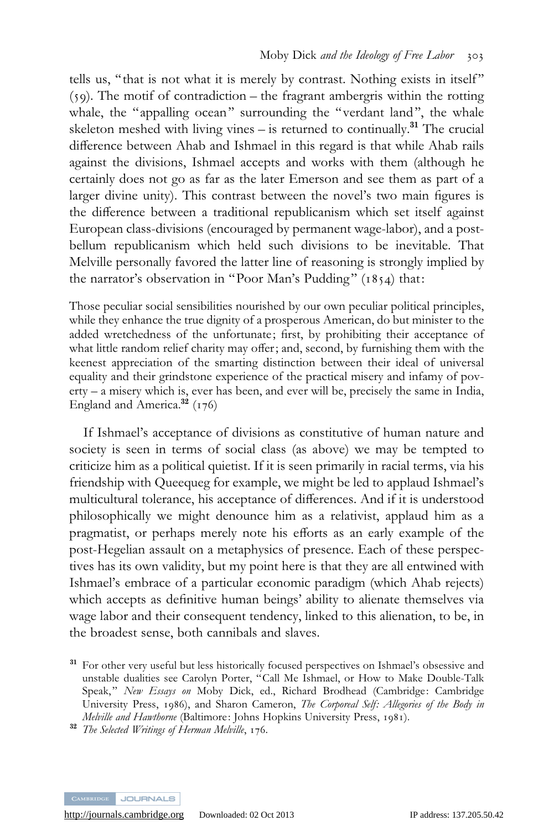tells us, ''that is not what it is merely by contrast. Nothing exists in itself''  $(59)$ . The motif of contradiction – the fragrant ambergris within the rotting whale, the "appalling ocean" surrounding the "verdant land", the whale skeleton meshed with living vines  $-$  is returned to continually.<sup>31</sup> The crucial difference between Ahab and Ishmael in this regard is that while Ahab rails against the divisions, Ishmael accepts and works with them (although he certainly does not go as far as the later Emerson and see them as part of a larger divine unity). This contrast between the novel's two main figures is the difference between a traditional republicanism which set itself against European class-divisions (encouraged by permanent wage-labor), and a postbellum republicanism which held such divisions to be inevitable. That Melville personally favored the latter line of reasoning is strongly implied by the narrator's observation in ''Poor Man's Pudding'' (1854) that:

Those peculiar social sensibilities nourished by our own peculiar political principles, while they enhance the true dignity of a prosperous American, do but minister to the added wretchedness of the unfortunate ; first, by prohibiting their acceptance of what little random relief charity may offer; and, second, by furnishing them with the keenest appreciation of the smarting distinction between their ideal of universal equality and their grindstone experience of the practical misery and infamy of poverty – a misery which is, ever has been, and ever will be, precisely the same in India, England and America.<sup>32</sup> (176)

If Ishmael's acceptance of divisions as constitutive of human nature and society is seen in terms of social class (as above) we may be tempted to criticize him as a political quietist. If it is seen primarily in racial terms, via his friendship with Queequeg for example, we might be led to applaud Ishmael's multicultural tolerance, his acceptance of differences. And if it is understood philosophically we might denounce him as a relativist, applaud him as a pragmatist, or perhaps merely note his efforts as an early example of the post-Hegelian assault on a metaphysics of presence. Each of these perspectives has its own validity, but my point here is that they are all entwined with Ishmael's embrace of a particular economic paradigm (which Ahab rejects) which accepts as definitive human beings' ability to alienate themselves via wage labor and their consequent tendency, linked to this alienation, to be, in the broadest sense, both cannibals and slaves.

<sup>&</sup>lt;sup>31</sup> For other very useful but less historically focused perspectives on Ishmael's obsessive and unstable dualities see Carolyn Porter, ''Call Me Ishmael, or How to Make Double-Talk Speak," New Essays on Moby Dick, ed., Richard Brodhead (Cambridge: Cambridge University Press, 1986), and Sharon Cameron, The Corporeal Self: Allegories of the Body in Melville and Hawthorne (Baltimore: Johns Hopkins University Press, 1981). <sup>32</sup> The Selected Writings of Herman Melville, 176.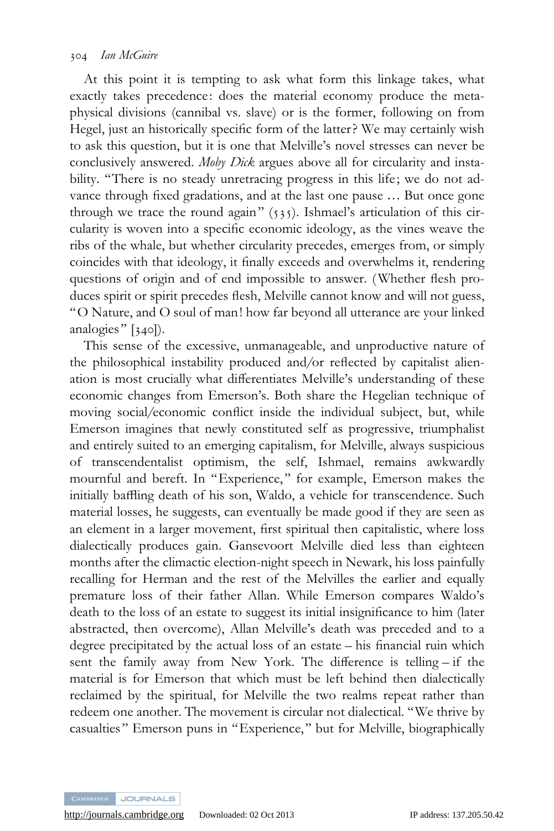At this point it is tempting to ask what form this linkage takes, what exactly takes precedence: does the material economy produce the metaphysical divisions (cannibal vs. slave) or is the former, following on from Hegel, just an historically specific form of the latter? We may certainly wish to ask this question, but it is one that Melville's novel stresses can never be conclusively answered. Moby Dick argues above all for circularity and instability. "There is no steady unretracing progress in this life; we do not advance through fixed gradations, and at the last one pause ... But once gone through we trace the round again"  $(535)$ . Ishmael's articulation of this circularity is woven into a specific economic ideology, as the vines weave the ribs of the whale, but whether circularity precedes, emerges from, or simply coincides with that ideology, it finally exceeds and overwhelms it, rendering questions of origin and of end impossible to answer. (Whether flesh produces spirit or spirit precedes flesh, Melville cannot know and will not guess, ''O Nature, and O soul of man! how far beyond all utterance are your linked analogies'' [340]).

This sense of the excessive, unmanageable, and unproductive nature of the philosophical instability produced and/or reflected by capitalist alienation is most crucially what differentiates Melville's understanding of these economic changes from Emerson's. Both share the Hegelian technique of moving social/economic conflict inside the individual subject, but, while Emerson imagines that newly constituted self as progressive, triumphalist and entirely suited to an emerging capitalism, for Melville, always suspicious of transcendentalist optimism, the self, Ishmael, remains awkwardly mournful and bereft. In ''Experience,'' for example, Emerson makes the initially baffling death of his son, Waldo, a vehicle for transcendence. Such material losses, he suggests, can eventually be made good if they are seen as an element in a larger movement, first spiritual then capitalistic, where loss dialectically produces gain. Gansevoort Melville died less than eighteen months after the climactic election-night speech in Newark, his loss painfully recalling for Herman and the rest of the Melvilles the earlier and equally premature loss of their father Allan. While Emerson compares Waldo's death to the loss of an estate to suggest its initial insignificance to him (later abstracted, then overcome), Allan Melville's death was preceded and to a degree precipitated by the actual loss of an estate – his financial ruin which sent the family away from New York. The difference is telling – if the material is for Emerson that which must be left behind then dialectically reclaimed by the spiritual, for Melville the two realms repeat rather than redeem one another. The movement is circular not dialectical. ''We thrive by casualties'' Emerson puns in ''Experience,'' but for Melville, biographically